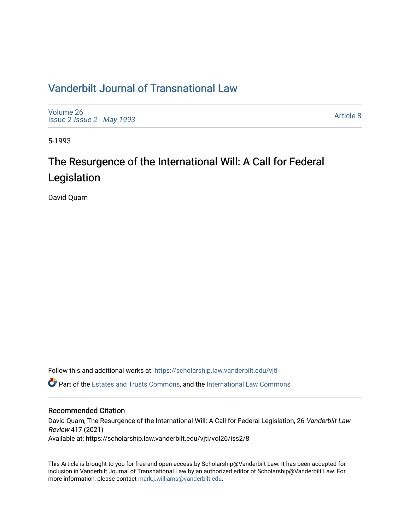## [Vanderbilt Journal of Transnational Law](https://scholarship.law.vanderbilt.edu/vjtl)

[Volume 26](https://scholarship.law.vanderbilt.edu/vjtl/vol26) Issue 2 [Issue 2 - May 1993](https://scholarship.law.vanderbilt.edu/vjtl/vol26/iss2) 

[Article 8](https://scholarship.law.vanderbilt.edu/vjtl/vol26/iss2/8) 

5-1993

# The Resurgence of the International Will: A Call for Federal Legislation

David Quam

Follow this and additional works at: [https://scholarship.law.vanderbilt.edu/vjtl](https://scholarship.law.vanderbilt.edu/vjtl?utm_source=scholarship.law.vanderbilt.edu%2Fvjtl%2Fvol26%2Fiss2%2F8&utm_medium=PDF&utm_campaign=PDFCoverPages) 

Part of the [Estates and Trusts Commons,](http://network.bepress.com/hgg/discipline/906?utm_source=scholarship.law.vanderbilt.edu%2Fvjtl%2Fvol26%2Fiss2%2F8&utm_medium=PDF&utm_campaign=PDFCoverPages) and the [International Law Commons](http://network.bepress.com/hgg/discipline/609?utm_source=scholarship.law.vanderbilt.edu%2Fvjtl%2Fvol26%2Fiss2%2F8&utm_medium=PDF&utm_campaign=PDFCoverPages)

#### Recommended Citation

David Quam, The Resurgence of the International Will: A Call for Federal Legislation, 26 Vanderbilt Law Review 417 (2021) Available at: https://scholarship.law.vanderbilt.edu/vjtl/vol26/iss2/8

This Article is brought to you for free and open access by Scholarship@Vanderbilt Law. It has been accepted for inclusion in Vanderbilt Journal of Transnational Law by an authorized editor of Scholarship@Vanderbilt Law. For more information, please contact [mark.j.williams@vanderbilt.edu](mailto:mark.j.williams@vanderbilt.edu).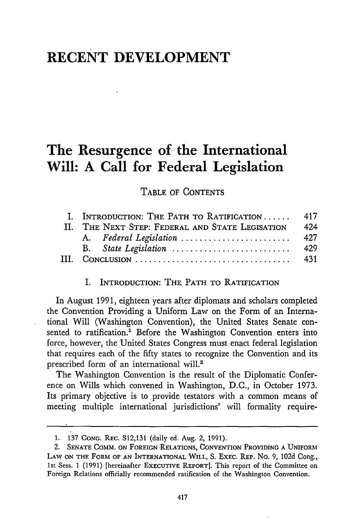### **RECENT DEVELOPMENT**

### **The Resurgence of the International Will: A Call for Federal Legislation**

TABLE OF CONTENTS

|             | I. INTRODUCTION: THE PATH TO RATIFICATION  417  |      |
|-------------|-------------------------------------------------|------|
|             | II. THE NEXT STEP: FEDERAL AND STATE LEGISATION | 42.4 |
|             | A. Federal Legislation                          | 427  |
|             |                                                 | 429  |
| $\Pi\Gamma$ |                                                 | 431  |

#### I. INTRODUCTION: THE PATH TO RATIFICATION

In August 1991, eighteen years after diplomats and scholars completed the Convention Providing a Uniform Law on the Form of an International Will (Washington Convention), the United States Senate consented to ratification.' Before the Washington Convention enters into force, however, the United States Congress must enact federal legislation that requires each of the fifty states to recognize the Convention and its prescribed form of an international will.2

The Washington Convention is the result of the Diplomatic Conference on Wills which convened in Washington, D.C., in October 1973. Its primary objective is to provide testators with a common means of meeting multiple international jurisdictions' will formality require-

<sup>1. 137</sup> **CONG.** REc. S12,131 (daily ed. Aug. 2, 1991).

<sup>2.</sup> **SENATE COMM. ON** FOREIGN **RELATIONS, CONVENTION** PROVIDING **A UNIFORM LAW ON** THE **FORM OF AN** INTERNATIONAL **WILL, S. EXEC.** REP. **No. 9, 102d** Cong., **1st Sess. 1 (1991) [hereinafter EXECUTIVE REPORT]. This report of the Committee on** Foreign Relations officially recommended ratification of the Washington Convention.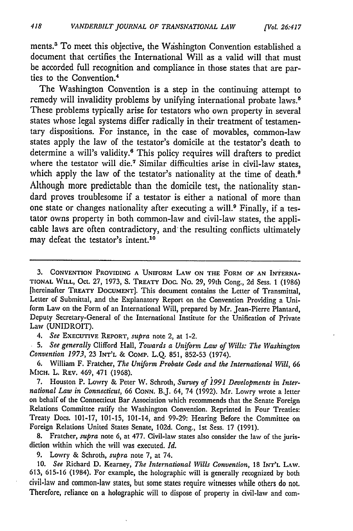ments.<sup>3</sup> To meet this objective, the Washington Convention established a document that certifies the International Will as a valid will that must be accorded full recognition and compliance in those states that are parties to the Convention.4

The Washington Convention is a step in the continuing attempt to remedy will invalidity problems by unifying international probate laws.<sup>5</sup> These problems typically arise for testators who own property in several states whose legal systems differ radically in their treatment of testamentary dispositions. For instance, in the case of movables, common-law states apply the law of the testator's domicile at the testator's death to determine a will's validity.6 This policy requires will drafters to predict where the testator will **die.7** Similar difficulties arise in civil-law states, which apply the law of the testator's nationality at the time of death.<sup>8</sup> Although more predictable than the domicile test, the nationality standard proves troublesome if a testator is either a national of more than one state or changes nationality after executing a will.9 Finally, if a testator owns property in both common-law and civil-law states, the applicable laws are often contradictory, and the resulting conflicts ultimately may defeat the testator's intent.<sup>10</sup>

*4. See* **EXECUTIVE REPORT,** *supra* note 2, at 1-2.

*5. See generally* Clifford Hall, *Towards a Uniform Law of Wills: The Washington Convention 1973,* 23 **INT'L** & COMP. L.Q. 851, 852-53 (1974).

6. William F. Fratcher, *The Uniform Probate Code and the International Will,* 66 **MICH.** L. REV. 469, 471 (1968).

7. Houston P. Lowry & Peter W. Schroth, *Survey of 1991 Developments in International Law in Connecticut,* 66 **CONN.** B.J. 64, 74 (1992). Mr. Lowry wrote a letter on behalf of the Connecticut Bar Association which recommends that the Senate Foreign Relations Committee ratify the Washington Convention. Reprinted in Four Treaties: Treaty Docs. 101-17, 101-15, 101-14, and 99-29: Hearing Before the Committee on Foreign Relations United States Senate, 102d. Cong., 1st Sess. 17 (1991).

8. Fratcher, *supra* note 6, at 477. Civil-law states also consider the law of the jurisdiction within which the will was executed. *Id.*

9. Lowry & Schroth, *supra* note 7, at 74.

10. *See* Richard D. Kearney, *The International Wills Convention,* 18 INT'L LAW. **613,** 615-16 (1984). For example, the holographic will is generally recognized by both civil-law and common-law states, but some states require witnesses while others do not. Therefore, reliance on a holographic will to dispose of property in civil-law and com-

<sup>3.</sup> **CONVENTION PROVIDING A UNIFORM LAW ON THE** FORM **OF AN INTERNA-TIONAL WILL,** Oct. 27, **1973,** S. **TREATY** Doc. No. **29,** 99th Cong., 2d Sess. 1 (1986) [hereinafter TREATY **DOCUMENT].** This document contains the Letter **of** Transmittal, Letter of Submittal, and the Explanatory Report on the Convention Providing a Uniform Law on the Form of an International Will, prepared by Mr. Jean-Pierre Plantard, Deputy Secretary-General of the International Institute for the Unification of Private Law (UNIDROIT).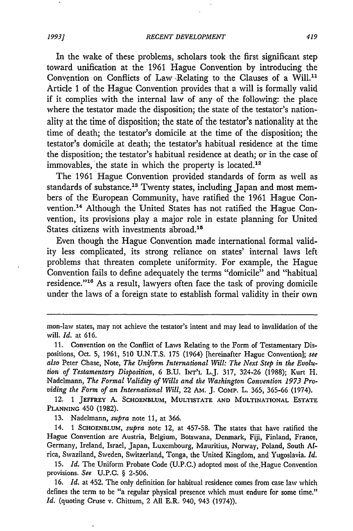In the wake of these problems, scholars took the first significant step toward unification at the 1961 Hague Convention by introducing the Convention on Conflicts of Law Relating to the Clauses of a Will."1 Article **1** of the Hague Convention provides that a will is formally valid if it complies with the internal law of any of the following: the place where the testator made the disposition; the state of the testator's nationality at the time of disposition; the state of the testator's nationality at the time of death; the testator's domicile at the time of the disposition; the testator's domicile at death; the testator's habitual residence at the time the disposition; the testator's habitual residence at death; or in the case of immovables, the state in which the property is located.<sup>12</sup>

The 1961 Hague Convention provided standards of form as well as standards of substance.<sup>13</sup> Twenty states, including Japan and most members of the European Community, have ratified the 1961 Hague Convention.<sup>14</sup> Although the United States has not ratified the Hague Convention, its provisions play a major role in estate planning for United States citizens with investments abroad.<sup>15</sup>

Even though the Hague Convention made international formal validity less complicated, its strong reliance on states' internal laws left problems that threaten complete uniformity. For example, the Hague Convention fails to define adequately the terms "domicile" and "habitual residence."<sup>16</sup> As a result, lawyers often face the task of proving domicile under the laws of a foreign state to establish formal validity in their own

**11.** Convention on the Conflict of Laws Relating to the Form of Testamentary Dispositions, Oct. 5, 1961, 510 U.N.T.S. 175 (1964) [hereinafter Hague Convention]; see *also* Peter Chase, Note, *The Uniform International Will: The Next Step in the Evolution of Testamentary Disposition,* 6 B.U. INT'L L.J. 317, 324-26 (1988); Kurt H. Nadelmann, *The Formal Validity of Wills and the Washington Convention 1973 Providing the Form of an International Will,* 22 AM. J. COMP. L. 365, 365-66 (1974).

12. 1 **JEFFREY A. SCHOENBLUM, MULTISTATE AND MULTINATIONAL ESTATE PLANNING 450** (1982).

13. Nadelmann, *supra* note 11, at 366.

14. 1 **SCHOENBLUM,** *supra* note 12, at 457-58. The states that have ratified the Hague Convention are Austria, Belgium, Botswana, Denmark, Fiji, Finland, France, Germany, Ireland, Israel, Japan, Luxembourg, Mauritius, Norway, Poland, South Africa, Swaziland, Sweden, Switzerland, Tonga, the United Kingdom, and Yugoslavia. *Id.*

15. *Id.* The Uniform Probate Code (U.P.C.) adopted most of the.Hague Convention provisions. *See* U.P.C. § 2-506.

16. *Id.* at 452. The only definition for habitual residence comes from case law which defines the term to be "a regular physical presence which must endure for some time." *Id.* (quoting Cruse v. Chittum, 2 All E.R. 940, 943 (1974)).

mon-law states, may not achieve the testator's intent and may lead to invalidation of the will. *Id.* at 616.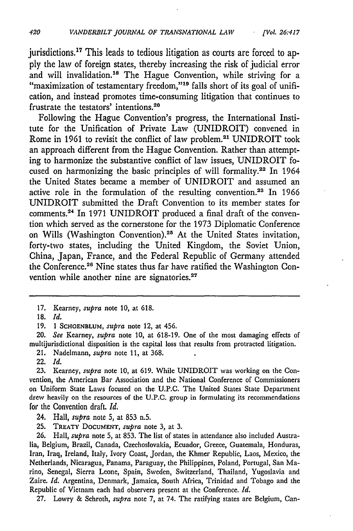jurisdictions.17 This leads to tedious litigation as courts are forced to apply the law of foreign states, thereby increasing the risk of judicial error and will invalidation.<sup>18</sup> The Hague Convention, while striving for a "maximization of testamentary freedom,"<sup>19</sup> falls short of its goal of unification, and instead promotes time-consuming litigation that continues to frustrate the testators' intentions.20

Following the Hague Convention's progress, the International Institute for the Unification of Private Law (UNIDROIT) convened in Rome in 1961 to revisit the conflict of law problem.2' UNIDROIT took an approach different from the Hague Convention. Rather than attempting to harmonize the substantive conflict of law issues, UNIDROIT focused on harmonizing the basic principles of will formality.22 In 1964 the United States became a member of UNIDROIT and assumed an active role in the formulation of the resulting convention.<sup>23</sup> In 1966 UNIDROIT submitted the Draft Convention to its member states for comments.24 In 1971 UNIDROIT produced a final draft of the convention which served as the cornerstone for the 1973 Diplomatic Conference on Wills (Washington Convention).<sup>25</sup> At the United States invitation, forty-two states, including the United Kingdom, the Soviet Union, China, Japan, France, and the Federal Republic of Germany attended the Conference. 26 Nine states thus far have ratified the Washington Convention while another nine are signatories.<sup>27</sup>

20. *See* Kearney, *supra* note 10, at 618-19. One of the most damaging effects of multijurisdictional disposition is the capital loss that results from protracted litigation.

21. Nadelmann, *supra* note 11, at 368.

22. *Id.*

**23.** Kearney, *supra* note 10, at 619. While UNIDROIT was working on the Convention, the American Bar Association and the National Conference of Commissioners on Uniform State Laws focused on the U.P.C. The United States State Department drew heavily on the resources of the U.P.C. group in formulating its recommendations for the Convention draft. *Id.*

26. Hall, *supra* note 5, at 853. The list of states in attendance also included Australia, Belgium, Brazil, Canada, Czechoslovakia, Ecuador, Greece, Guatemala, Honduras, Iran, Iraq, Ireland, Italy, Ivory Coast, Jordan, the Khmer Republic, Laos, Mexico, the Netherlands, Nicaragua, Panama, Paraguay, the Philippines, Poland, Portugal, San Marino, Senegal, Sierra Leone, Spain, Sweden, Switzerland, Thailand, Yugoslavia and Zaire. *Id.* Argentina, Denmark, Jamaica, South Africa, Trinidad and Tobago and the Republic of Vietnam each had observers present at the Conference. *Id.*

27. Lowry **&** Schroth, *supra* note 7, at 74. The ratifying states are Belgium, Can-

<sup>17.</sup> Kearney, *supra* note **10,** at 618.

**<sup>18.</sup>** *Id.*

<sup>19. 1</sup> SCHOENBLUM, *supra* note 12, at 456.

<sup>24.</sup> Hall, *supra* note 5, at 853 n.5.

<sup>25.</sup> TREATY **DOCUMENT,** *supra* note 3, at 3.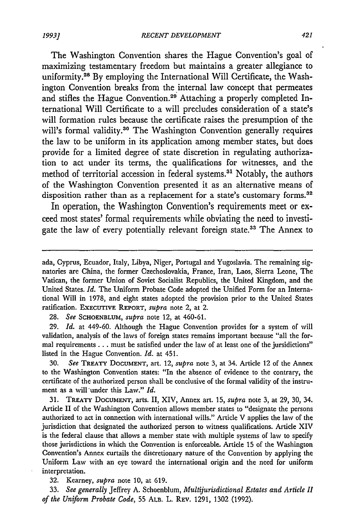The Washington Convention shares the Hague Convention's goal of maximizing testamentary freedom but maintains a greater allegiance to uniformity.<sup>28</sup> By employing the International Will Certificate, the Washington Convention breaks from the internal law concept that permeates and stifles the Hague Convention.<sup>29</sup> Attaching a properly completed International Will Certificate to a will precludes consideration of a state's will formation rules because the certificate raises the presumption of the will's formal validity.<sup>30</sup> The Washington Convention generally requires the law to be uniform in its application among member states, but does provide for a limited degree of state discretion in regulating authorization to act under its terms, the qualifications for witnesses, and the method of territorial accession in federal systems.<sup>31</sup> Notably, the authors of the Washington Convention presented it as an alternative means of disposition rather than as a replacement for a state's customary forms.<sup>32</sup>

In operation, the Washington Convention's requirements meet or exceed most states' formal requirements while obviating the need to investigate the law of every potentially relevant foreign state.<sup>33</sup> The Annex to

28. *See* **SCHOENBLUM,** *supra* note 12, at 460-61.

29. *Id.* at 449-60. Although the Hague Convention provides for a system of will validation, analysis of the laws of foreign states remains important because "all the formal requirements **...** must be satisfied under the law of at least one of the jursidictions" listed in the Hague Convention. *Id.* at 451.

30. *See* TREATY **DOCUMENT,** art. 12, *supra* note 3, at 34. Article 12 of the Annex to the Washington Convention states: "In the absence of evidence to the contrary, the certificate of the authorized person shall be conclusive of the formal validity of the instrument as a will'under this Law." *Id.*

31. TREATY **DOCUMENT,** arts. II, XIV, Annex art. 15, *supra* note 3, at 29, 30, 34. Article II of the Washington Convention allows member states to "designate the persons authorized to act in connection with international wills." Article V applies the law of the jurisdiction that designated the authorized person to witness qualifications. Article XIV is the federal clause that allows a member state with multiple systems of law to specify those jurisdictions in which the Convention is enforceable. Article 15 of the Washington Convention's Annex curtails the discretionary nature of the Convention by applying the Uniform Law with an eye toward the international origin and the need for uniform interpretation.

32. Kearney, *supra* note 10, at 619.

33. *See generally* Jeffrey A. Schoenblum, *Multijurisdictional Estates and Article II of the Uniform Probate Code,* 55 ALB. L. REV. 1291, 1302 (1992).

ada, Cyprus, Ecuador, Italy, Libya, Niger, Portugal and Yugoslavia. The remaining signatories are China, the former Czechoslovakia, France, Iran, Laos, Sierra Leone, The Vatican, the former Union of Soviet Socialist Republics, the United Kingdom, and the United States. *Id.* The Uniform Probate Code adopted the Unified Form for an International Will in 1978, and eight states adopted the provision prior to the United States ratification. EXECUTIVE REPORT, supra note 2, at 2.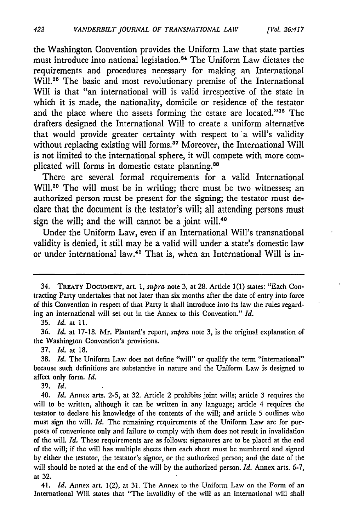the Washington Convention provides the Uniform Law that state parties must introduce into national legislation.<sup>34</sup> The Uniform Law dictates the requirements and procedures necessary for making an International Will.<sup>35</sup> The basic and most revolutionary premise of the International Will is that "an international will is valid irrespective of the state in which it is made, the nationality, domicile or residence of the testator and the place where the assets forming the estate are located."36 The drafters designed the International Will to create a uniform alternative that would provide greater certainty with respect to a will's validity without replacing existing will forms.37 Moreover, the International Will is not limited to the international sphere, it will compete with more complicated will forms in domestic estate planning.<sup>38</sup>

There are several formal requirements for a valid International Will.<sup>39</sup> The will must be in writing; there must be two witnesses; an authorized person must be present for the signing; the testator must declare that the document is the testator's will; all attending persons must sign the will; and the will cannot be a joint will.<sup>46</sup>

Under the Uniform Law, even if an International Will's transnational validity is denied, it still may be a valid will under a state's domestic law or under international law.<sup>41</sup> That is, when an International Will is in-

**36,** *Id.* at 17-18. Mr. Plantard's report, *supra* note 3, is the original explanation of the Washington Convention's provisions.

37. *Id.* at 18.

38. *Id.* The Uniform Law does not define "will" or qualify the term "international" because such definitions are substantive in nature and the Uniform Law is designed to affect only form. *Id.*

39. *Id.*

*40. Id.* Annex arts. 2-5, at 32. Article 2 prohibits joint wills; article 3 requires the will to be written, although it can be written in any language; article 4 requires the testator to declare his knowledge of the contents of the will; and article 5 outlines who must sign the will. *Id.* The remaining requirements of the Uniform Law are for purposes of convenience only and failure to comply with them does not result in invalidation of the will. *Id.* These requirements are as follows: signatures are to be placed at the end of the will; if the will has multiple sheets then each sheet must be numbered and signed by either the testator, the testator's signor, or the authorized person; and the date of the will should be noted at the end of the will by the authorized person. *Id.* Annex arts. 6-7, at 32.

41. *Id.* Annex art. 1(2), at 31. The Annex to the Uniform Law on the Form of an International Will states that "The invalidity of the will as an international will shall

<sup>34,</sup> TREATY **DOCUMENT,** art. 1, *supra* note 3, at **28.** Article 1(1) states: "Each Contracting Party undertakes that not later than six months after the date of entry into force of this Convention in respect of that Party it shall introduce into its law the rules regarding an international will set out in the Annex to this Convention." *Id.*

<sup>35.</sup> *Id.* at 11.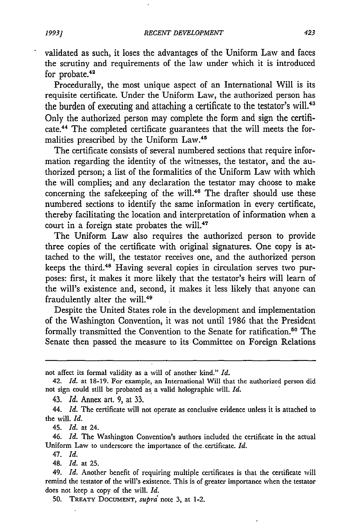validated as such, it loses the advantages of the Uniform Law and faces the scrutiny and requirements of the law under which it is introduced for probate.<sup>42</sup>

Procedurally, the most unique aspect of an International Will is its requisite certificate. Under the Uniform Law, the authorized person has the burden of executing and attaching a certificate to the testator's will.<sup>4</sup> Only the authorized person may complete the form and sign the certificate.44 The completed certificate guarantees that the will meets the formalities prescribed by the Uniform Law.45

The certificate consists of several numbered sections that require information regarding the identity of the witnesses, the testator, and the authorized person; a list of the formalities of the Uniform Law with which the will complies; and any declaration the testator may choose to make concerning the safekeeping of the will.<sup>46</sup> The drafter should use these numbered sections to identify the same information in every certificate, thereby facilitating the location and interpretation of information when a court in a foreign state probates the will.<sup>47</sup>

The Uniform Law also requires the authorized person to provide three copies of the certificate with original signatures. One copy is attached to the will, the testator receives one, and the authorized person keeps the third.<sup>48</sup> Having several copies in circulation serves two purposes: first, it makes it more likely that the testator's heirs will learn of the will's existence and, second, it makes it less likely that anyone can fraudulently alter the will.<sup>49</sup>

Despite the United States role in the development and implementation of the Washington Convention, it was not until 1986 that the President formally transmitted the Convention to the Senate for ratification.<sup>50</sup> The Senate then passed the measure to its Committee on Foreign Relations

43. *Id.* Annex art. **9,** at **33.**

45. *Id.* at 24.

46. *Id.* The Washington Convention's authors included the certificate in the actual Uniform Law to underscore the importance of the. certificate. *Id.*

47. *Id.*

48. *Id.* at 25.

not affect its formal validity as a will of another kind." *Id.*

<sup>42.</sup> *Id.* at 18-19. For example, an International Will that the authorized person did not sign could still be probated as a valid holographic will. *Id.*

<sup>44.</sup> *Id.* The certificate will not operate as conclusive evidence unless it is attached to the will. *Id.*

<sup>49.</sup> *Id.* Another benefit of requiring multiple certificates is that the certificate will remind the testator of the will's existence. This is of greater importance when the testator does not keep a copy of the will. *Id.*

**<sup>50.</sup>** TREATY **DOCUMENT,** supra note 3, at 1-2.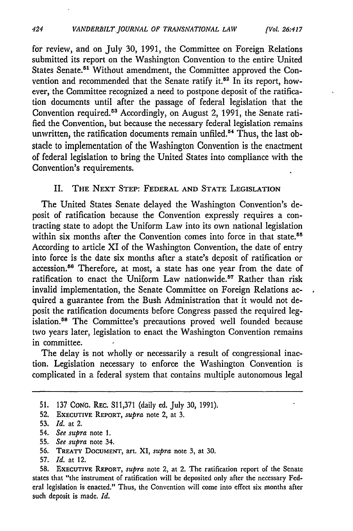for review, and on July 30, 1991, the Committee on Foreign Relations submitted its report on the Washington Convention to the entire United States Senate.<sup>51</sup> Without amendment, the Committee approved the Convention and recommended that the Senate ratify it.<sup>52</sup> In its report, however, the Committee recognized a need to postpone deposit of the ratification documents until after the passage of federal legislation that the Convention required.<sup>53</sup> Accordingly, on August 2, 1991, the Senate ratified the Convention, but because the necessary federal legislation remains unwritten, the ratification documents remain unfiled.<sup>54</sup> Thus, the last obstacle to implementation of the Washington Convention is the enactment of federal legislation to bring the United States into compliance with the Convention's requirements.

#### **II. THE NEXT STEP:** FEDERAL **AND STATE** LEGISLATION

The United States Senate delayed the Washington Convention's deposit of ratification because the Convention expressly requires a contracting state to adopt the Uniform Law into its own national legislation within six months after the Convention comes into force in that state.<sup>55</sup> According to article XI of the Washington Convention, the date of entry into force is the date six months after a state's deposit of ratification or accession.56 Therefore, at most, a state has one year from the date of ratification to enact the Uniform Law nationwide.<sup>57</sup> Rather than risk invalid implementation, the Senate Committee on Foreign Relations acquired a guarantee from the Bush Administration that it would not deposit the ratification documents before Congress passed the required legislation.<sup>58</sup> The Committee's precautions proved well founded because two years later, legislation to enact the Washington Convention remains in committee.

The delay is not wholly or necessarily a result of congressional inaction. Legislation necessary to enforce the Washington Convention is complicated in a federal system that contains multiple autonomous legal

- 55. *See supra* note 34.
- **56. TREATY DOCUMENT,** art. XI, *supra* note 3, at **30.**
- 57. *Id.* at 12.

<sup>51. 137</sup> CONG. REC. S11,371 (daily ed. July 30, 1991).

**<sup>52.</sup> EXECUTIVE REPORT,** *supra* note 2, at **3.**

**<sup>53.</sup>** *Id.* at 2.

<sup>54.</sup> *See supra* note 1.

<sup>58.</sup> EXECUTIVE **REPORT,** *supra* note 2, at 2. The ratification report of the Senate states that "the instrument of ratification will be deposited only after the necessary Federal legislation is enacted." Thus, the Convention will come into effect six months after such deposit is made. *Id.*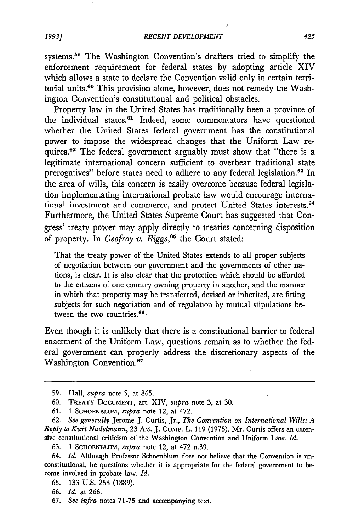systems.59 The Washington Convention's drafters tried to simplify the enforcement requirement for federal states by adopting article XIV which allows a state to declare the Convention valid only in certain territorial units.<sup>60</sup> This provision alone, however, does not remedy the Washington Convention's constitutional and political obstacles.

Property law in the United States has traditionally been a province of the individual states.<sup>61</sup> Indeed, some commentators have questioned whether the United States federal government has the constitutional power to impose the widespread changes that the Uniform Law requires.<sup>62</sup> The federal government arguably must show that "there is a legitimate international concern sufficient to overbear traditional state prerogatives" before states need to adhere to any federal legislation.<sup>63</sup> In the area of wills, this concern is easily overcome because federal legislation implementating international probate law would encourage international investment and commerce, and protect United States interests.<sup>64</sup> Furthermore, the United States Supreme Court has suggested that Congress' treaty power may apply directly to treaties concerning disposition of property. In *Geofroy v. Riggs,65* the Court stated:

That the treaty power of the United States extends to all proper subjects of negotiation between our government and the governments of other nations, is clear. It is also clear that the protection which should be afforded to the citizens of one country owning property in another, and the manner in which that property may be transferred, devised or inherited, are fitting subjects for such negotiation and of regulation by mutual stipulations between the two countries. $66 -$ 

Even though it is unlikely that there is a constitutional barrier to federal enactment of the Uniform Law, questions remain as to whether the federal government can properly address the discretionary aspects of the Washington Convention.<sup>67</sup>

<sup>59.</sup> Hall, *supra* note 5, at 865.

<sup>60.</sup> TREATY **DOCUMENT,** art. XIV, *-upra* note 3, at 30.

<sup>61. 1</sup> SCHOENBLUM, *supra* note 12, at 472.

<sup>62.</sup> *See generally* Jerome J. Curtis, Jr., *The Convention on International Wills: A Reply to Kurt Nadelmann,* 23 AM. J. CoMP. L. 119 (1975). Mr. Curtis offers an extensive constitutional criticism of the Washington Convention and Uniform Law. *Id.*

<sup>63. 1</sup> SCHOENBLUM, *supra* note 12, at 472 n.39.

<sup>64.</sup> *Id.* Although Professor Schoenblum does not believe that the Convention is unconstitutional, he questions whether it is appropriate for the federal government to become involved in probate law. *Id.*

<sup>65. 133</sup> U.S. 258 (1889).

<sup>66.</sup> *Id.* at 266.

<sup>67.</sup> *See infra* notes 71-75 and accompanying text.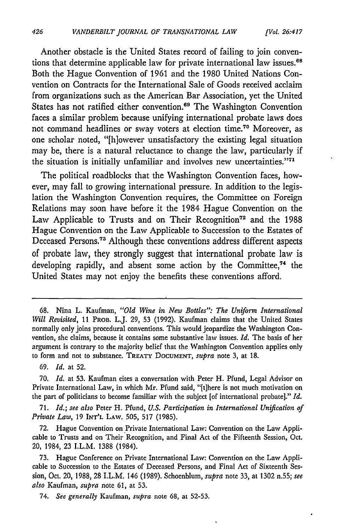Another obstacle is the United States record of failing to join conventions that determine applicable law for private international law issues.<sup>68</sup> Both the Hague Convention of 1961 and the 1980 United Nations Convention on Contracts for the International Sale of Goods received acclaim from organizations such as the American Bar Association, yet the United States has not ratified either convention.<sup>69</sup> The Washington Convention faces a similar problem because unifying international probate laws does not command headlines or sway voters at election time.70 Moreover, as one scholar noted, "[h]owever unsatisfactory the existing legal situation may be, there is a natural reluctance to change the law, particularly if the situation is initially unfamiliar and involves new uncertainties."<sup>71</sup>

The political roadblocks that the Washington Convention faces, however, may fall to growing international pressure. In addition to the legislation the Washington Convention requires, the Committee on Foreign Relations may soon have before it the 1984 Hague Convention on the Law Applicable to Trusts and on Their Recognition<sup>72</sup> and the 1988 Hague Convention on the Law Applicable to Succession to the Estates of Deceased Persons.73 Although these conventions address different aspects of probate law, they strongly suggest that international probate law is developing rapidly, and absent some action by the Committee,<sup>74</sup> the United States may not enjoy the benefits these conventions afford.

**71.** *Id.; see also* Peter H. Pfund, *U.S. Participation in International Unification of Private Law,* 19 INT'L LAW. 505, 517 (1985).

72. Hague Convention on Private International Law: Convention on the Law Applicable to Trusts and on Their Recognition, and Final Act of the Fifteenth Session, Oct. 20, 1984, 23 I.L.M. 1388 (1984).

73. Hague Conference on Private International Law: Convention on the Law Applicable to Succession to the Estates of Deceased Persons, and Final Act of Sixteenth Session, Oct. 20, 1988, 28 I.L.M. 146 (1989). Schoenblum, *supra* note **33,** at 1302 n.55; *see also* Kaufman, *supra* note 61, at 53.

74. *See generally* Kaufman, *supra* note 68, at 52-53.

**<sup>68.</sup>** Nina L. Kaufman, *"Old Wine in New Bottles": The Uniform International Will Revisited,* 11 PROB. L.J. 29, 53 (1992). Kaufman claims that the United States normally only joins procedural conventions. This would jeopardize the Washington Convention, she claims, because it contains some substantive law issues. *Id.* The basis of her argument is contrary to the majority belief that the Washington Convention applies only to form and not to substance. **TREATY DOCUMENT,** *supra* note 3, at **18.**

**<sup>69.</sup>** *Id.* at **52.**

**<sup>70.</sup>** *Id.* at **53.** Kaufman cites a conversation with Peter H. Pfund, Legal Advisor on Private International Law, in which Mr. Pfund said, "[t]here is not much motivation on the part of politicians to become familiar with the subject [of international probate]." *Id.*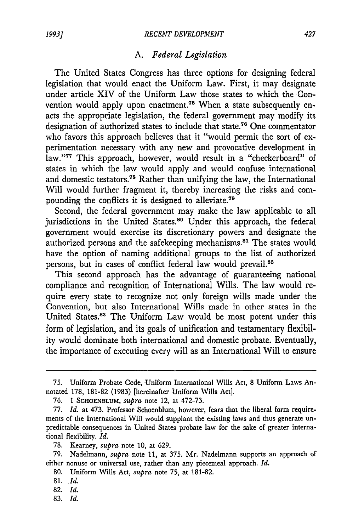#### *A. Federal Legislation*

The United States Congress has three options for designing federal legislation that would enact the Uniform Law. First, it may designate under article XIV of the Uniform Law those states to which the Convention would apply upon enactment.<sup>75</sup> When a state subsequently enacts the appropriate legislation, the federal government may modify its designation of authorized states to include that state.<sup>76</sup> One commentator who favors this approach believes that it "would permit the sort of experimentation necessary with any new and provocative development in law."77 This approach, however, would result in a "checkerboard" of states in which the law would apply and would confuse international and domestic testators.<sup>78</sup> Rather than unifying the law, the International Will would further fragment it, thereby increasing the risks and compounding the conflicts it is designed to alleviate.<sup>79</sup>

Second, the federal government may make the law applicable to all jurisdictions in the United States.<sup>80</sup> Under this approach, the federal government would exercise its discretionary powers and designate the authorized persons and the safekeeping mechanisms.<sup>81</sup> The states would have the option of naming additional groups to the list of authorized persons, but in cases of conflict federal law would prevail.<sup>82</sup>

This second approach has the advantage of guaranteeing national compliance and recognition of International Wills. The law would require every state to recognize not only foreign wills made under the Convention, but also International Wills made in other states in the United States.83 The Uniform Law would be most potent under this form of legislation, and its goals of unification and testamentary flexibility would dominate both international and domestic probate. Eventually, the importance of executing every will as an International Will to ensure

- 80. Uniform Wills Act, *supra* note 75, at 181-82.
- 81. *Id.*
- **82.** *Id.*
- **83.** *Id.*

<sup>75.</sup> Uniform Probate Code, Uniform International Wills Act, 8 Uniform Laws Annotated 178, 181-82 (1983) [hereinafter Uniform Wills Act].

<sup>76.</sup> 1 **SCHOENBLUM,** *supra* note 12, at 472-73.

<sup>77.</sup> *Id.* at 473. Professor Schoenblum, however, fears that the liberal form requirements of the International Will would supplant the existing laws and thus generate unpredictable consequences in United States probate law for the sake of greater international flexibility. *Id.*

<sup>78.</sup> Kearney, *supra* note 10, at 629.

<sup>79.</sup> Nadelmann, *supra* note 11, at 375. Mr. Nadelmann supports an approach of either nonuse or universal use, rather than any piecemeal approach. *Id.*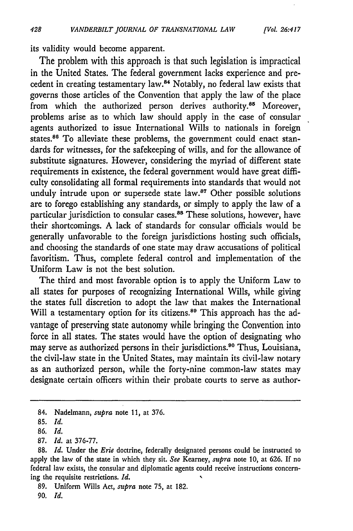its validity would become apparent.

The problem with this approach is that such legislation is impractical in the United States. The federal government lacks experience and precedent in creating testamentary law. 4 Notably, no federal law exists that governs those articles of the Convention that apply the law of the place from which the authorized person derives authority.<sup>85</sup> Moreover, problems arise as to which law should apply in the case of consular agents authorized to issue International Wills to nationals in foreign states.<sup>86</sup> To alleviate these problems, the government could enact standards for witnesses, for the safekeeping of wills, and for the allowance of substitute signatures. However, considering the myriad of different state requirements in existence, the federal government would have great difficulty consolidating all formal requirements into standards that would not unduly intrude upon or supersede state law.<sup>87</sup> Other possible solutions are to forego establishing any standards, or simply to apply the law of a particular jurisdiction to consular cases.<sup>88</sup> These solutions, however, have their shortcomings. A lack of standards for consular officials would be generally unfavorable to the foreign jurisdictions hosting such officials, and choosing the standards of one state may draw accusations of political favoritism. Thus, complete federal control and implementation of the Uniform Law is not the best solution.

The third and most favorable option is to apply the Uniform Law to all states for purposes of recognizing International Wills, while giving the states full discretion to adopt the law that makes the International Will a testamentary option for its citizens.<sup>89</sup> This approach has the advantage of preserving state autonomy while bringing the Convention into force in all states. The states would have the option of designating who may serve as authorized persons in their jurisdictions.<sup>80</sup> Thus, Louisiana, the civil-law state in the United States, may maintain its civil-law notary as an authorized person, while the forty-nine common-law states may designate certain officers within their probate courts to serve as author-

<sup>84.</sup> Nadelmann, *supra* note 11, at 376.

**<sup>85.</sup>** *Id.*

**<sup>86.</sup>** *Id.*

**<sup>87.</sup>** *Id.* at **376-77.**

**<sup>88.</sup>** *Id.* Under the *Erie* doctrine, federally designated persons could be instructed to apply the law of the state in which they sit. *See* Kearney, *supra* note **10,** at **626.** If no federal law exists, the consular and diplomatic agents could receive instructions concerning the requisite restrictions. *Id.*

**<sup>89.</sup>** Uniform Wills Act, *supra* note **75,** at **182.**

*<sup>90.</sup> Id.*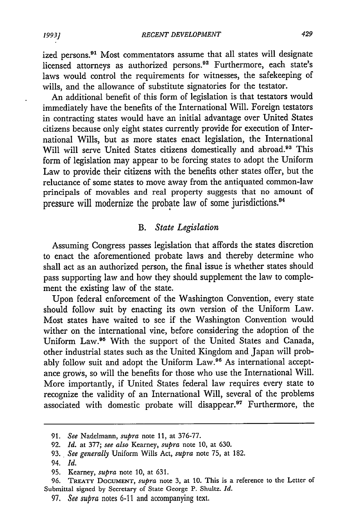ized persons.<sup>91</sup> Most commentators assume that all states will designate licensed attorneys as authorized persons.<sup>92</sup> Furthermore, each state's laws would control the requirements for witnesses, the safekeeping of wills, and the allowance of substitute signatories for the testator.

An additional benefit of this form of legislation is that testators would immediately have the benefits of the International Will. Foreign testators in contracting states would have an initial advantage over United States citizens because only eight states currently provide for execution of International Wills, but as more states enact legislation, the International Will will serve United States citizens domestically and abroad.<sup>93</sup> This form of legislation may appear to be forcing states to adopt the Uniform Law to provide their citizens with the benefits other states offer, but the reluctance of some states to move away from the antiquated common-law principals of movables and real property suggests that no amount of pressure will modernize the probate law of some jurisdictions. <sup>4</sup>

### *B. State Legislation*

Assuming Congress passes legislation that affords the states discretion to enact the aforementioned probate laws and thereby determine who shall act as an authorized person, the final issue is whether states should pass supporting law and how they should supplement the law to complement the existing law of the state.

Upon federal enforcement of the Washington Convention, every state should follow suit by enacting its own version of the Uniform Law. Most states have waited to see if the Washington Convention would wither on the international vine, before considering the adoption of the Uniform Law.<sup>95</sup> With the support of the United States and Canada, other industrial states such as the United Kingdom and Japan will probably follow suit and adopt the Uniform Law.<sup>96</sup> As international acceptance grows, so will the benefits for those who use the International Will. More importantly, if United States federal law requires every state to recognize the validity of an International Will, several of the problems associated with domestic probate will disappear.<sup>97</sup> Furthermore, the

<sup>91.</sup> *See* Nadelmann, *supra* note 11, at 376-77.

<sup>92.</sup> *Id.* at 377; *see also* Kearney, *supra* note 10, at 630.

<sup>93.</sup> *See generally* Uniform Wills Act, *supra* note 75, at 182.

<sup>94.</sup> *Id.*

<sup>95.</sup> Kearney, *supra* note 10, at 631.

<sup>96.</sup> TREATY DOCUMENT, *supra* note 3, at **10.** This is a reference to the Letter of Submittal signed by Secretary of State George P. Shultz. *Id.*

<sup>97.</sup> *See supra* notes 6-11 and accompanying text.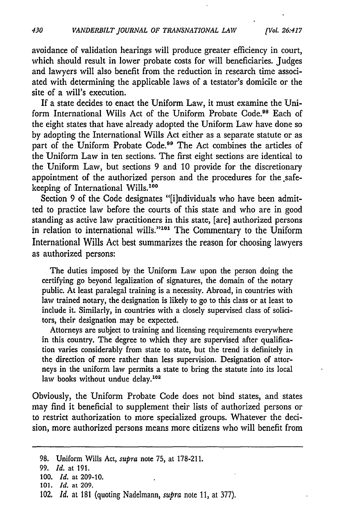*[Vol 26:417*

avoidance of validation hearings will produce greater efficiency in court, which should result in lower probate costs for will beneficiaries. Judges and lawyers will also benefit from the reduction in research time associated with determining the applicable laws of a testator's domicile or the site of a will's execution.

If a state decides to enact the Uniform Law, it must examine the Uniform International Wills Act of the Uniform Probate Code.<sup>98</sup> Each of the eight states that have already adopted the Uniform Law have done so by adopting the International Wills Act either as a separate statute or as part of the Uniform Probate Code.<sup>99</sup> The Act combines the articles of the Uniform Law in ten sections. The first eight sections are identical to the Uniform Law, but sections 9 and 10 provide for the discretionary appointment of the authorized person and the procedures for the safekeeping of International Wills.<sup>100</sup>

Section 9 of the Code designates "[i]ndividuals who have been admitted to practice law before the courts of this state and who are in good standing as active law practitioners in this state, [are] authorized persons in relation to international wills."101 The Commentary to the Uniform International Wills Act best summarizes the reason for choosing lawyers as authorized persons:

The duties imposed by the Uniform Law upon the person doing the certifying go beyond legalization of signatures, the domain of the notary public. At least paralegal training is a necessity. Abroad, in countries with law trained notary, the designation is likely to go to this class or at least to include it. Similarly, in countries with a closely supervised class of solicitors, their designation may be expected.

Attorneys are subject to training and licensing requirements everywhere in this country. The degree to which they are supervised after qualification varies considerably from state to state, but the trend is definitely in the direction of more rather than less supervision. Designation of attorneys in the uniform law permits a state to bring the statute into its local law books without undue delay.<sup>102</sup>

Obviously, the Uniform Probate Code does not bind states, and states may find it beneficial to supplement their lists of authorized persons or to restrict authorization to more specialized groups. Whatever the decision, more authorized persons means more citizens who will benefit from

<sup>98.</sup> Uniform Wills Act, *supra* note **75,** at 178-211.

**<sup>99.</sup>** *Id.* at 191.

<sup>100.</sup> *Id.* at 209-10.

<sup>101.</sup> *Id.* at **209.**

<sup>102.</sup> *Id.* at **181** (quoting Nadelmann, *supra* note **11,** at 377).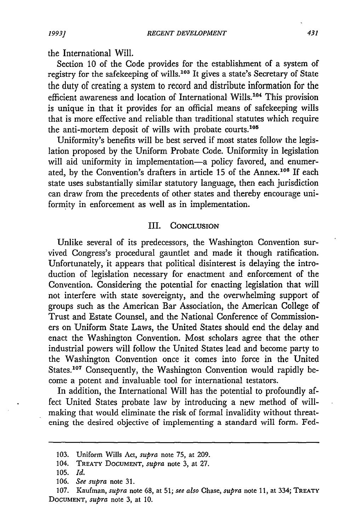the International Will.

Section 10 of the Code provides for the establishment of a system of registry for the safekeeping of wills.<sup>103</sup> It gives a state's Secretary of State the duty of creating a system to record and distribute information for the efficient awareness and location of International Wills.<sup>104</sup> This provision is unique in that it provides for an official means of safekeeping wills that is more effective and reliable than traditional statutes which require the anti-mortem deposit of wills with probate courts.<sup>108</sup>

Uniformity's benefits will be best served if most states follow the legislation proposed by the Uniform Probate Code. Uniformity in legislation will aid uniformity in implementation-a policy favored, and enumerated, by the Convention's drafters in article 15 of the Annex.<sup>106</sup> If each state uses substantially similar statutory language, then each jurisdiction can draw from the precedents of other states and thereby encourage uniformity in enforcement as well as in implementation.

#### III. CONCLUSION

Unlike several of its predecessors, the Washington Convention survived Congress's procedural gauntlet and made it though ratification. Unfortunately, it appears that political disinterest is delaying the introduction of legislation necessary for enactment and enforcement of the Convention. Considering the potential for enacting legislation that will not interfere with state sovereignty, and the overwhelming support of groups such as the American Bar Association, the American College of Trust and Estate Counsel, and the National Conference of Commissioners on Uniform State Laws, the United States should end the delay and enact the Washington Convention. Most scholars agree that the other industrial powers will follow the United States lead and become party to the Washington Convention once it comes into force in the United States.<sup>107</sup> Consequently, the Washington Convention would rapidly become a potent and invaluable tool for international testators.

In addition, the International Will has the potential to profoundly affect United States probate law by introducing a new method of willmaking that would eliminate the risk of formal invalidity without threatening the desired objective of implementing a standard will form. Fed-

*1993]*

<sup>103.</sup> Uniform Wills Act, *supra* note **75,** at 209.

<sup>104.</sup> TREATY DOCUMENT, *supra* note 3, at **27.**

<sup>105.</sup> *Id.*

<sup>106.</sup> *See supra* note **31.**

**<sup>107.</sup>** Kaufman, *supra* note **68,** at 51; *see also* Chase, *supra* note 11, at 334; TREATY **DOCUMENT,** *supra* note 3, at **10.**